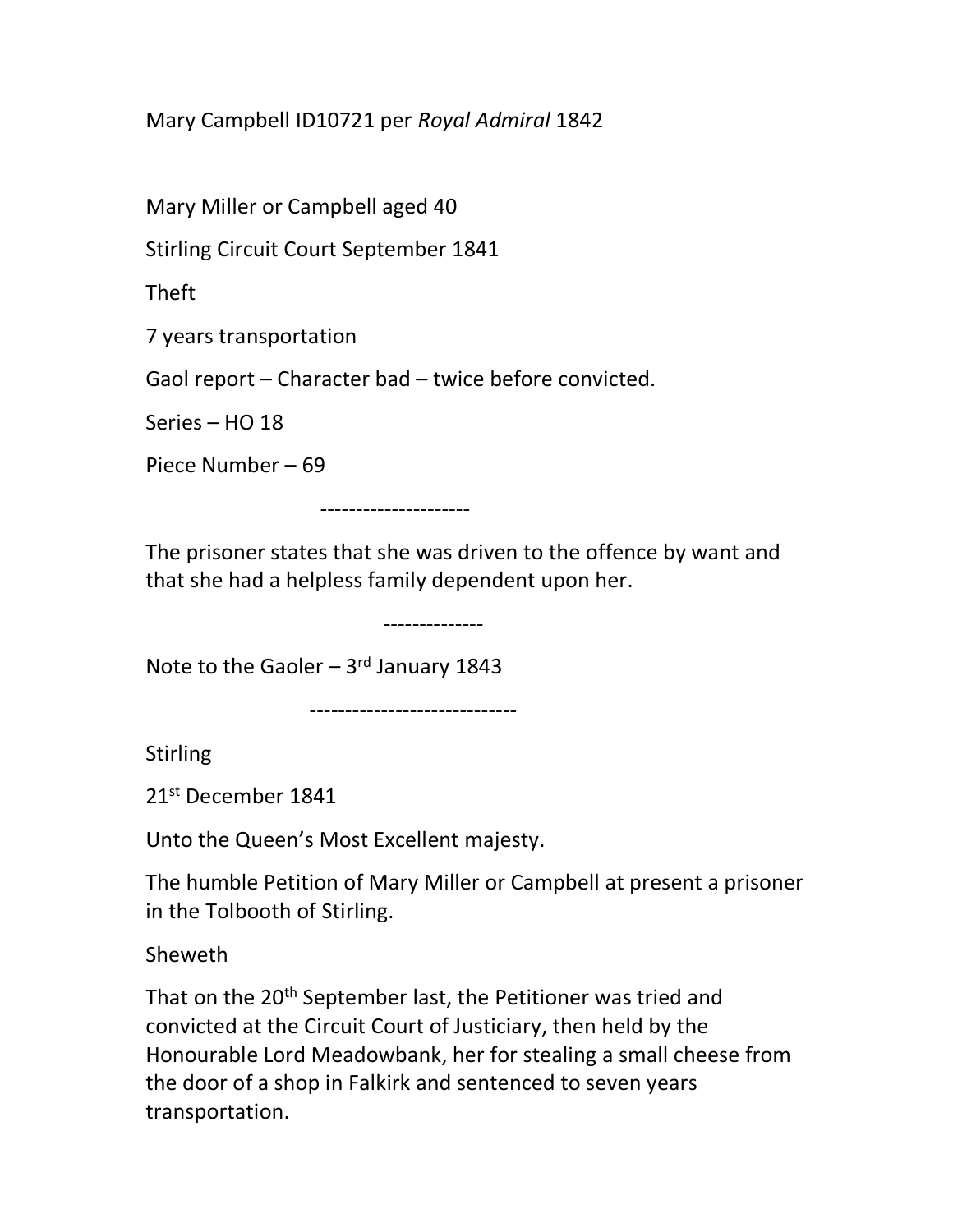Mary Campbell ID10721 per Royal Admiral 1842

Mary Miller or Campbell aged 40

Stirling Circuit Court September 1841

Theft

7 years transportation

Gaol report – Character bad – twice before convicted.

Series – HO 18

Piece Number – 69

---------------------

The prisoner states that she was driven to the offence by want and that she had a helpless family dependent upon her.

--------------

Note to the Gaoler  $-3$ <sup>rd</sup> January 1843

-----------------------------

Stirling

21st December 1841

Unto the Queen's Most Excellent majesty.

The humble Petition of Mary Miller or Campbell at present a prisoner in the Tolbooth of Stirling.

Sheweth

That on the 20<sup>th</sup> September last, the Petitioner was tried and convicted at the Circuit Court of Justiciary, then held by the Honourable Lord Meadowbank, her for stealing a small cheese from the door of a shop in Falkirk and sentenced to seven years transportation.